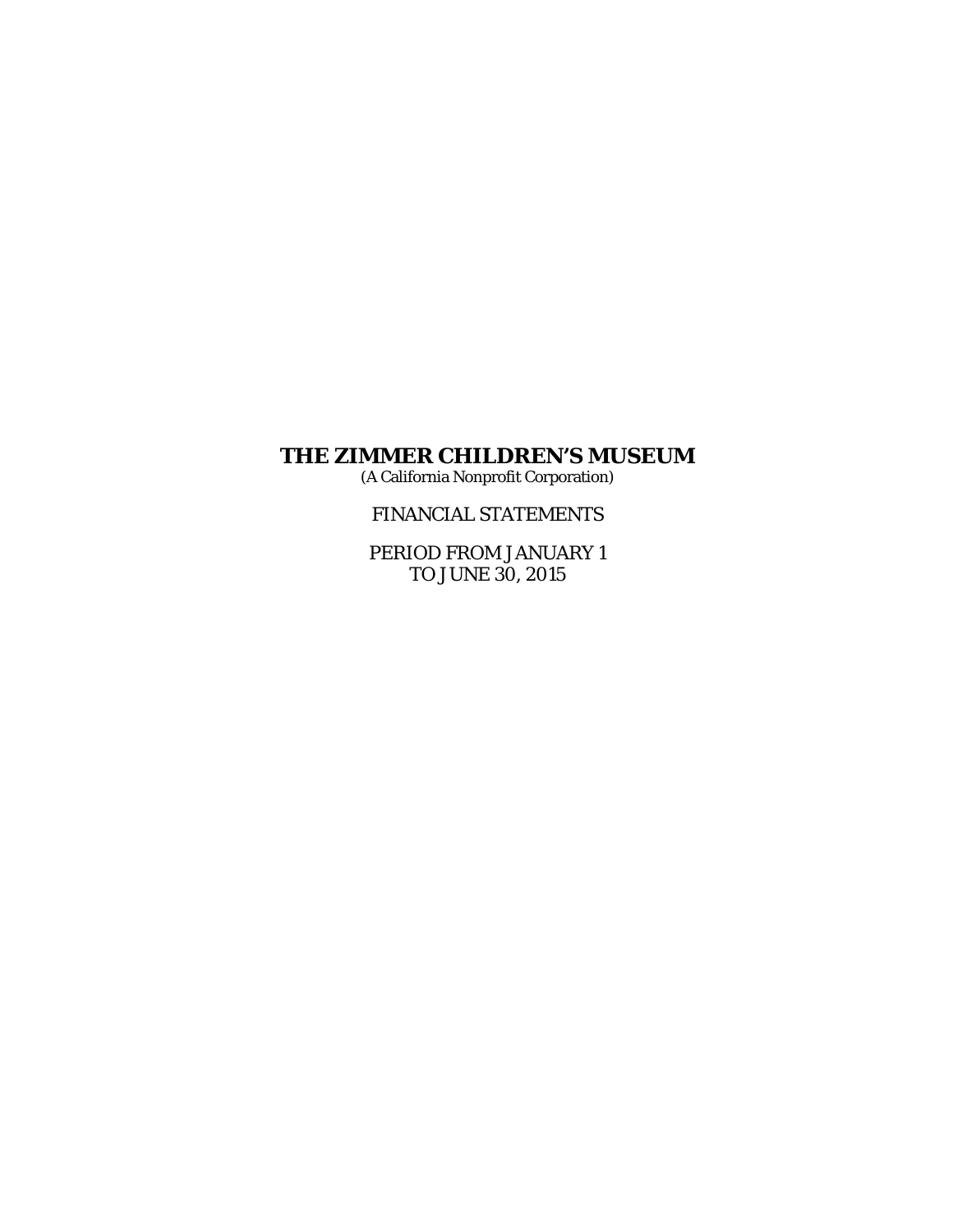(A California Nonprofit Corporation)

FINANCIAL STATEMENTS

PERIOD FROM JANUARY 1 TO JUNE 30, 2015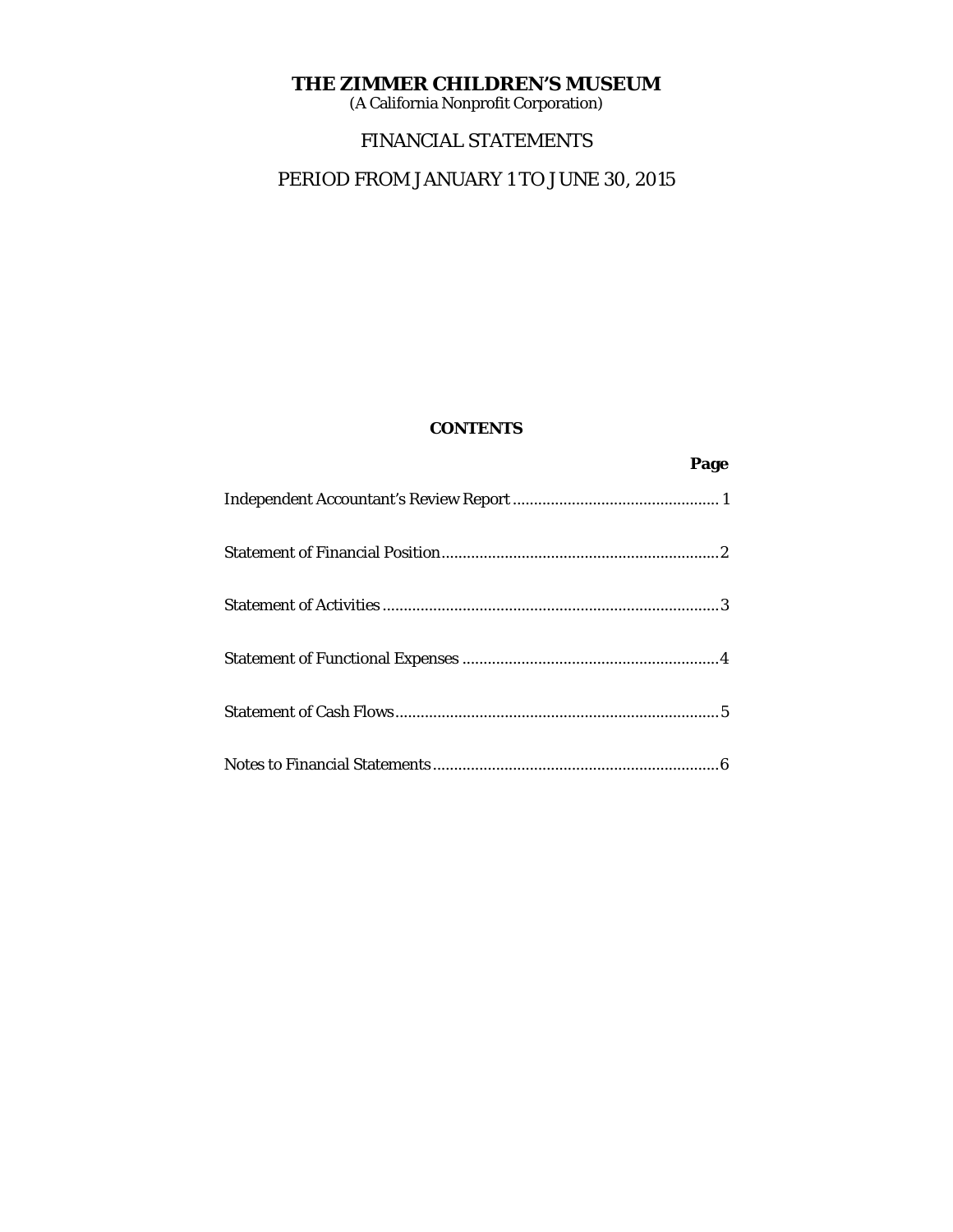(A California Nonprofit Corporation)

# FINANCIAL STATEMENTS

# PERIOD FROM JANUARY 1 TO JUNE 30, 2015

# **CONTENTS**

**Page 2 Page**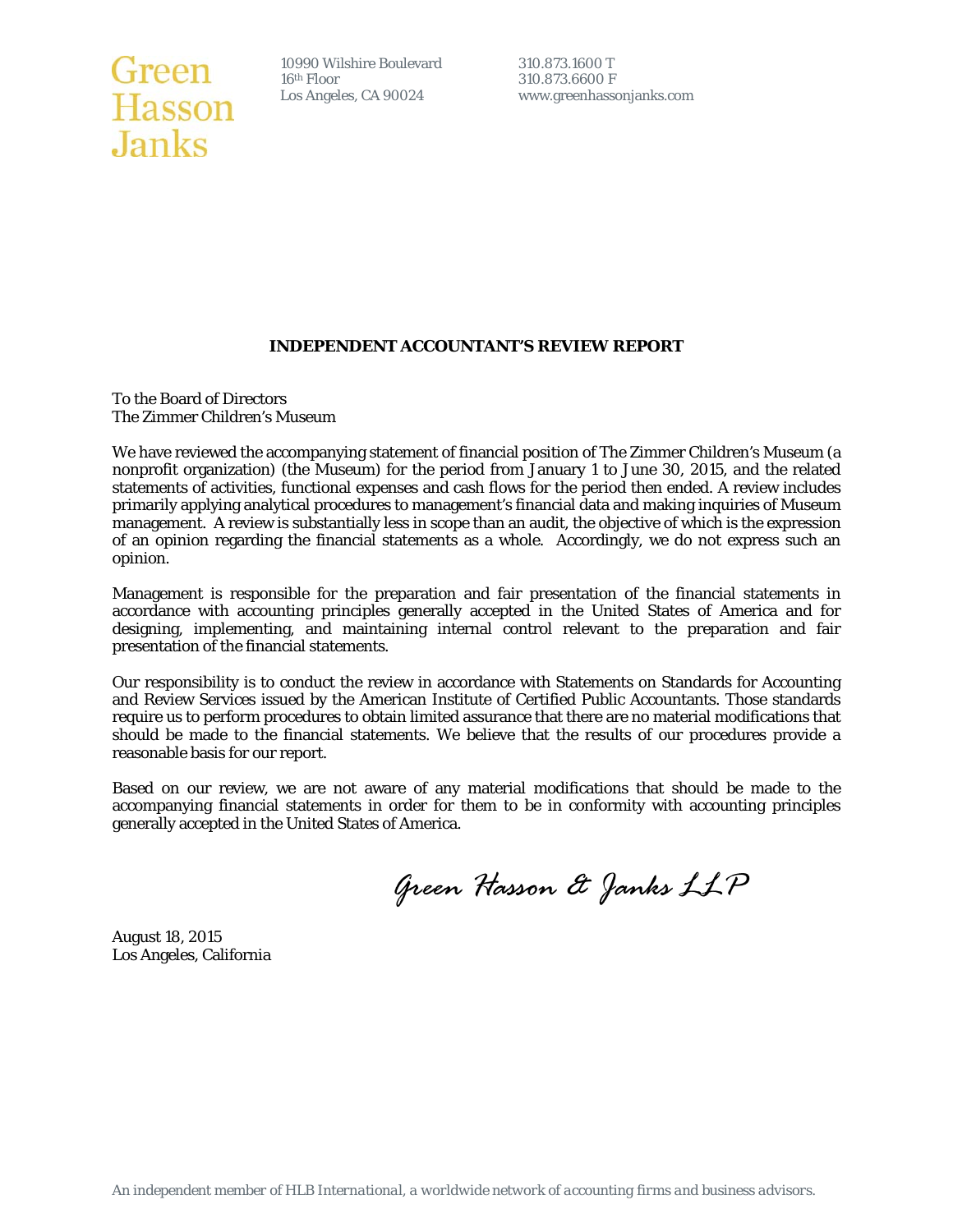# Green 10990 Wilshire Boulevar<br>
Hasson Los Angeles, CA 90024 **Janks**

10990 Wilshire Boulevard 310.873.1600 T<br>16<sup>th</sup> Floor 310.873.6600 F

www.greenhassonjanks.com

# **INDEPENDENT ACCOUNTANT'S REVIEW REPORT**

To the Board of Directors The Zimmer Children's Museum

We have reviewed the accompanying statement of financial position of The Zimmer Children's Museum (a nonprofit organization) (the Museum) for the period from January 1 to June 30, 2015, and the related statements of activities, functional expenses and cash flows for the period then ended. A review includes primarily applying analytical procedures to management's financial data and making inquiries of Museum management. A review is substantially less in scope than an audit, the objective of which is the expression of an opinion regarding the financial statements as a whole. Accordingly, we do not express such an opinion.

Management is responsible for the preparation and fair presentation of the financial statements in accordance with accounting principles generally accepted in the United States of America and for designing, implementing, and maintaining internal control relevant to the preparation and fair presentation of the financial statements.

Our responsibility is to conduct the review in accordance with Statements on Standards for Accounting and Review Services issued by the American Institute of Certified Public Accountants. Those standards require us to perform procedures to obtain limited assurance that there are no material modifications that should be made to the financial statements. We believe that the results of our procedures provide a reasonable basis for our report.

Based on our review, we are not aware of any material modifications that should be made to the accompanying financial statements in order for them to be in conformity with accounting principles generally accepted in the United States of America.

*Green Hasson & Janks LLP* 

August 18, 2015 Los Angeles, California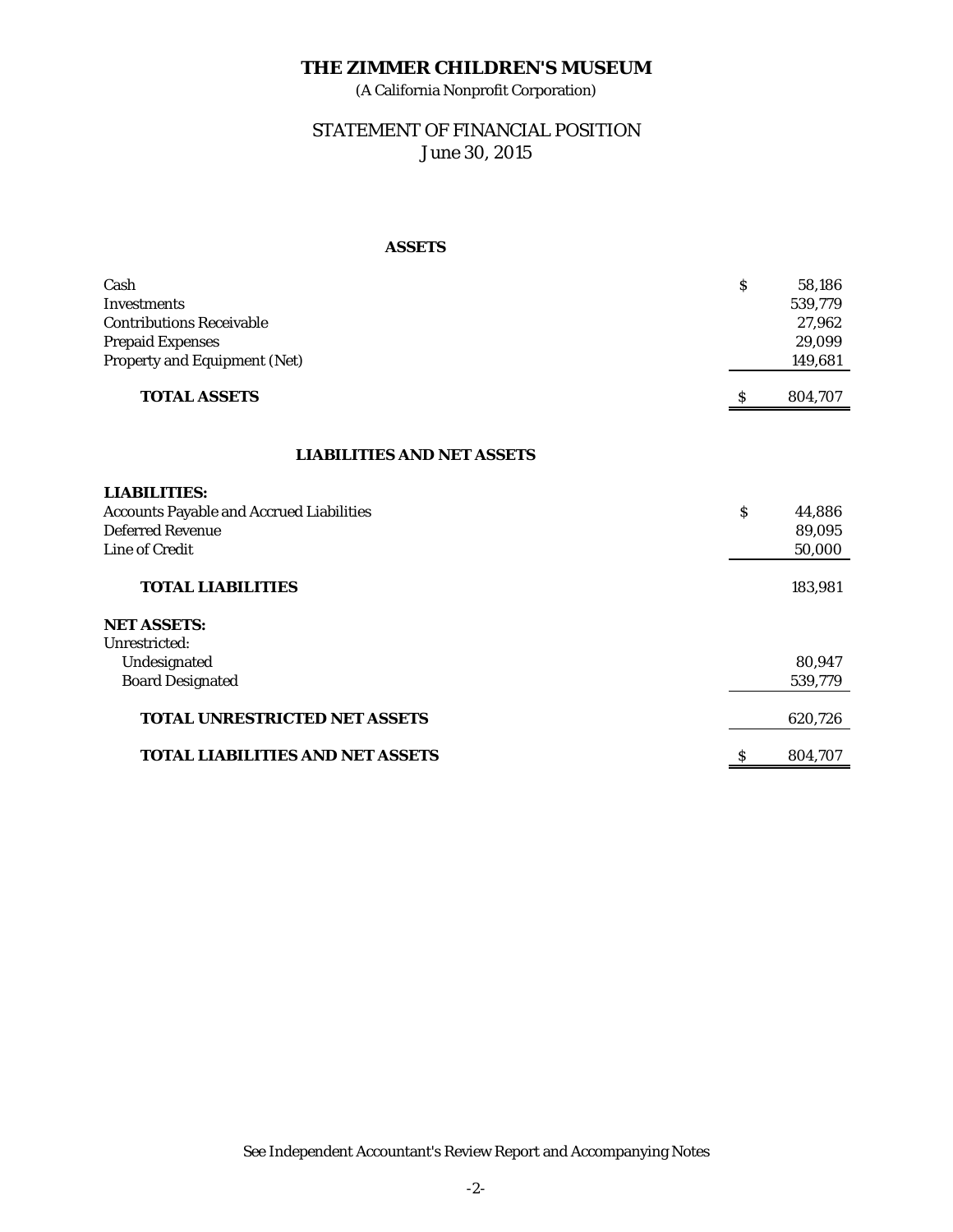(A California Nonprofit Corporation)

# STATEMENT OF FINANCIAL POSITION June 30, 2015

#### **ASSETS**

| Cash<br>Investments<br><b>Contributions Receivable</b><br><b>Prepaid Expenses</b><br>Property and Equipment (Net) | $\mathbf S$ | 58,186<br>539,779<br>27,962<br>29,099<br>149,681 |
|-------------------------------------------------------------------------------------------------------------------|-------------|--------------------------------------------------|
| <b>TOTAL ASSETS</b>                                                                                               | S           | 804,707                                          |
| <b>LIABILITIES AND NET ASSETS</b>                                                                                 |             |                                                  |
| <b>LIABILITIES:</b>                                                                                               |             |                                                  |
| <b>Accounts Payable and Accrued Liabilities</b>                                                                   | Ś           | 44,886                                           |
| <b>Deferred Revenue</b>                                                                                           |             | 89,095                                           |
| <b>Line of Credit</b>                                                                                             |             | 50,000                                           |
| <b>TOTAL LIABILITIES</b>                                                                                          |             | 183,981                                          |
| <b>NET ASSETS:</b>                                                                                                |             |                                                  |
| Unrestricted:                                                                                                     |             |                                                  |
| Undesignated                                                                                                      |             | 80,947                                           |
| <b>Board Designated</b>                                                                                           |             | 539,779                                          |
| <b>TOTAL UNRESTRICTED NET ASSETS</b>                                                                              |             | 620,726                                          |
| <b>TOTAL LIABILITIES AND NET ASSETS</b>                                                                           | \$          | 804,707                                          |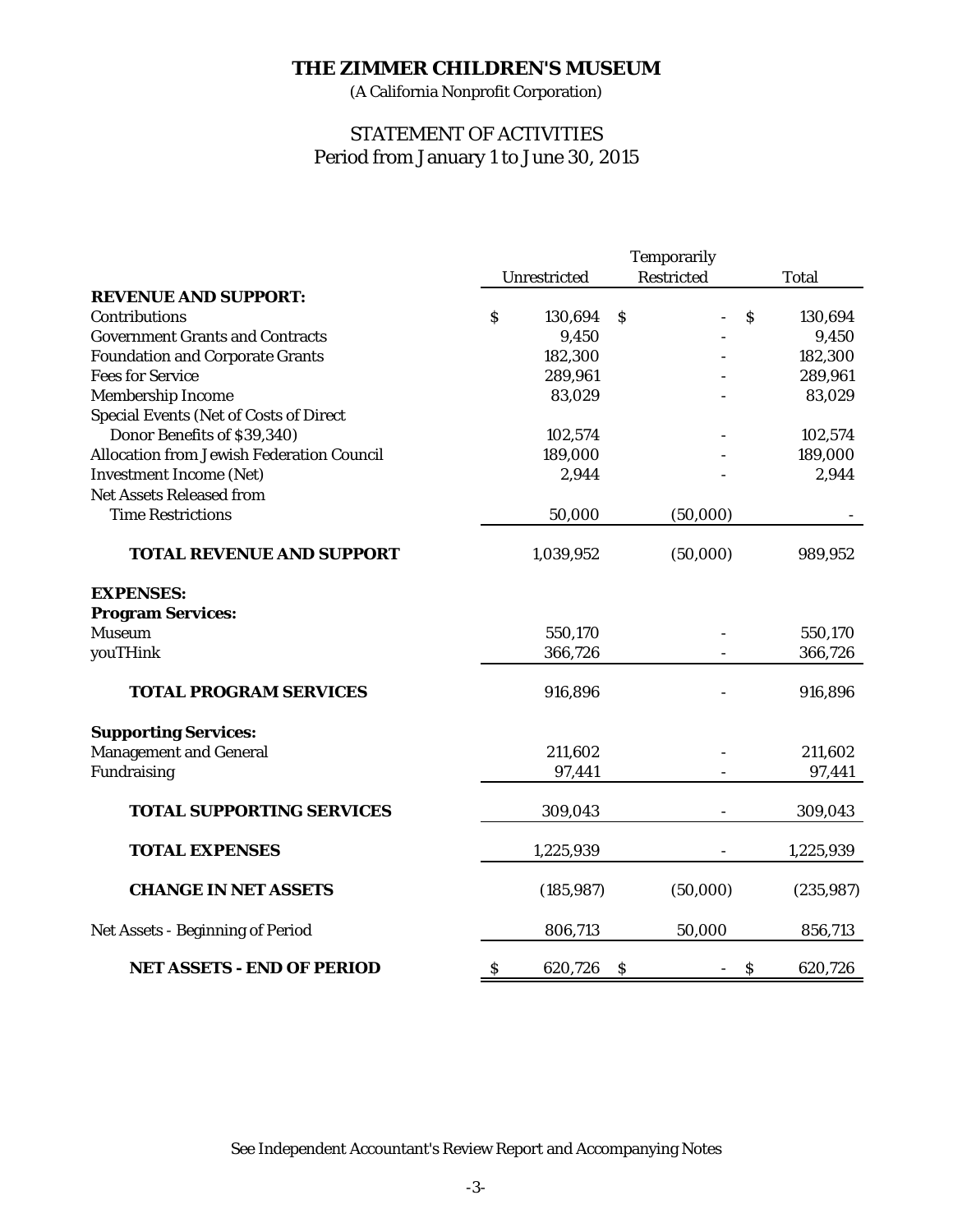(A California Nonprofit Corporation)

# STATEMENT OF ACTIVITIES Period from January 1 to June 30, 2015

|                                                  | <b>Temporarily</b>        |              |               |                           |              |
|--------------------------------------------------|---------------------------|--------------|---------------|---------------------------|--------------|
|                                                  |                           | Unrestricted |               | <b>Restricted</b>         | <b>Total</b> |
| <b>REVENUE AND SUPPORT:</b>                      |                           |              |               |                           |              |
| Contributions                                    | $\mathbf S$               | 130,694      | $\mathcal{S}$ | $\mathsf{\hat{S}}$        | 130,694      |
| <b>Government Grants and Contracts</b>           |                           | 9,450        |               |                           | 9,450        |
| <b>Foundation and Corporate Grants</b>           |                           | 182,300      |               |                           | 182,300      |
| <b>Fees for Service</b>                          |                           | 289,961      |               |                           | 289,961      |
| <b>Membership Income</b>                         |                           | 83,029       |               |                           | 83,029       |
| <b>Special Events (Net of Costs of Direct</b>    |                           |              |               |                           |              |
| Donor Benefits of \$39,340)                      |                           | 102,574      |               |                           | 102,574      |
| <b>Allocation from Jewish Federation Council</b> |                           | 189,000      |               |                           | 189,000      |
| <b>Investment Income (Net)</b>                   |                           | 2,944        |               |                           | 2,944        |
| <b>Net Assets Released from</b>                  |                           |              |               |                           |              |
| <b>Time Restrictions</b>                         |                           | 50,000       |               | (50,000)                  |              |
| <b>TOTAL REVENUE AND SUPPORT</b>                 |                           | 1,039,952    |               | (50,000)                  | 989,952      |
| <b>EXPENSES:</b>                                 |                           |              |               |                           |              |
| <b>Program Services:</b>                         |                           |              |               |                           |              |
| <b>Museum</b>                                    |                           | 550,170      |               |                           | 550,170      |
| youTHink                                         |                           | 366,726      |               |                           | 366,726      |
| <b>TOTAL PROGRAM SERVICES</b>                    |                           | 916,896      |               |                           | 916,896      |
| <b>Supporting Services:</b>                      |                           |              |               |                           |              |
| <b>Management and General</b>                    |                           | 211,602      |               |                           | 211,602      |
| Fundraising                                      |                           | 97,441       |               |                           | 97,441       |
| <b>TOTAL SUPPORTING SERVICES</b>                 |                           | 309,043      |               |                           | 309,043      |
| <b>TOTAL EXPENSES</b>                            |                           | 1,225,939    |               |                           | 1,225,939    |
| <b>CHANGE IN NET ASSETS</b>                      |                           | (185, 987)   |               | (50,000)                  | (235, 987)   |
| Net Assets - Beginning of Period                 |                           | 806,713      |               | 50,000                    | 856,713      |
| <b>NET ASSETS - END OF PERIOD</b>                | $\boldsymbol{\mathsf{S}}$ | 620,726      | $\mathcal{S}$ | $\boldsymbol{\mathsf{S}}$ | 620,726      |

See Independent Accountant's Review Report and Accompanying Notes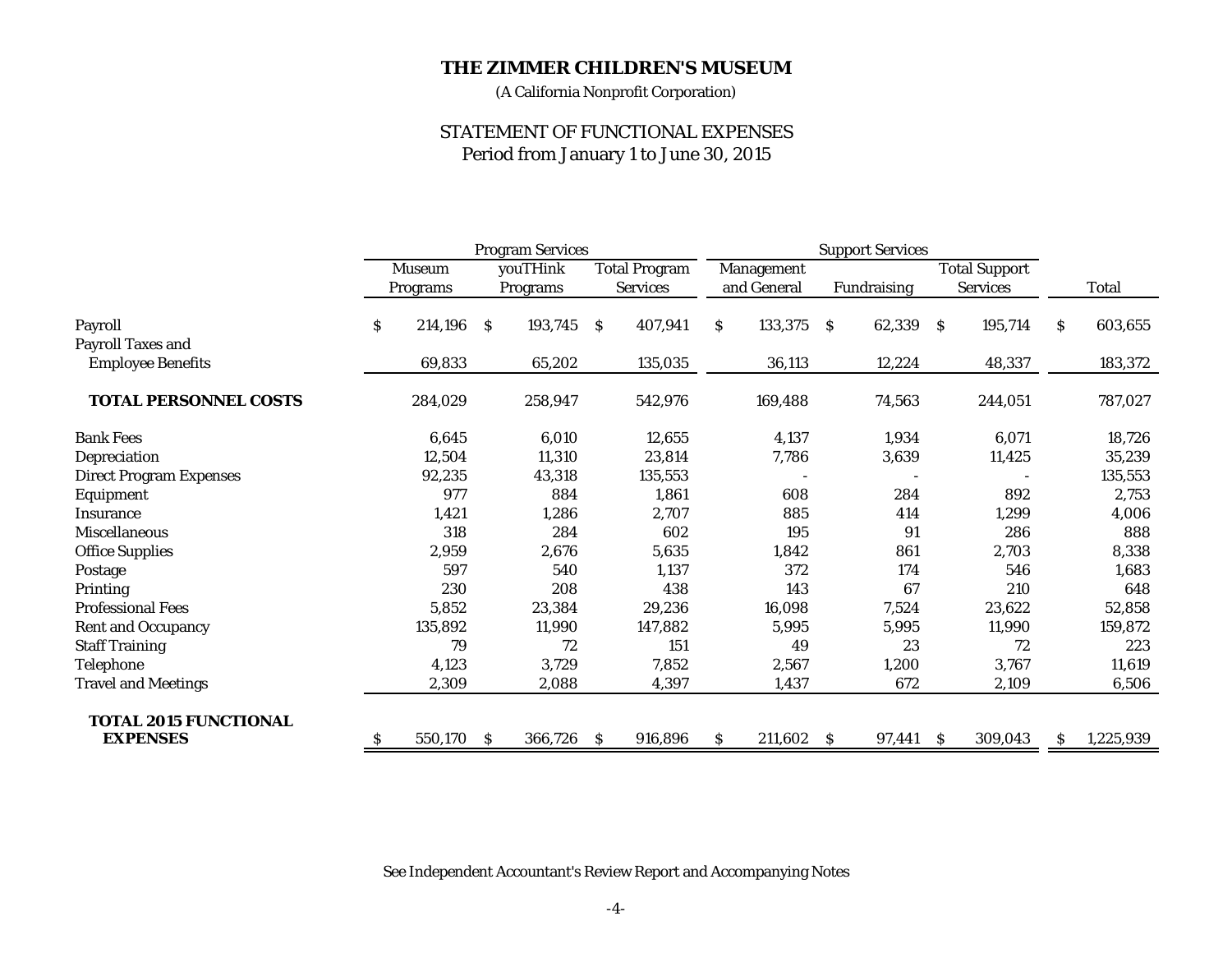(A California Nonprofit Corporation)

# STATEMENT OF FUNCTIONAL EXPENSES Period from January 1 to June 30, 2015

|                                                 | <b>Program Services</b> |          |              |          | <b>Support Services</b> |                 |     |             |                      |             |     |                 |     |           |
|-------------------------------------------------|-------------------------|----------|--------------|----------|-------------------------|-----------------|-----|-------------|----------------------|-------------|-----|-----------------|-----|-----------|
|                                                 | <b>Museum</b>           |          | youTHink     |          | <b>Total Program</b>    | Management      |     |             | <b>Total Support</b> |             |     |                 |     |           |
|                                                 |                         | Programs |              | Programs |                         | <b>Services</b> |     | and General |                      | Fundraising |     | <b>Services</b> |     | Total     |
| Payroll                                         | \$                      | 214,196  | <sub>S</sub> | 193,745  | <sub>S</sub>            | 407,941         | \$. | 133,375     | -S                   | 62,339      | - S | 195,714         | \$. | 603,655   |
| <b>Payroll Taxes and</b>                        |                         |          |              |          |                         |                 |     |             |                      |             |     |                 |     |           |
| <b>Employee Benefits</b>                        |                         | 69,833   |              | 65,202   |                         | 135,035         |     | 36,113      |                      | 12,224      |     | 48,337          |     | 183,372   |
| <b>TOTAL PERSONNEL COSTS</b>                    |                         | 284,029  |              | 258,947  |                         | 542,976         |     | 169,488     |                      | 74,563      |     | 244,051         |     | 787,027   |
| <b>Bank Fees</b>                                |                         | 6,645    |              | 6,010    |                         | 12,655          |     | 4,137       |                      | 1,934       |     | 6,071           |     | 18,726    |
| Depreciation                                    |                         | 12,504   |              | 11,310   |                         | 23,814          |     | 7,786       |                      | 3,639       |     | 11,425          |     | 35,239    |
| <b>Direct Program Expenses</b>                  |                         | 92,235   |              | 43,318   |                         | 135,553         |     |             |                      |             |     |                 |     | 135,553   |
| Equipment                                       |                         | 977      |              | 884      |                         | 1,861           |     | 608         |                      | 284         |     | 892             |     | 2,753     |
| Insurance                                       |                         | 1,421    |              | 1,286    |                         | 2,707           |     | 885         |                      | 414         |     | 1,299           |     | 4,006     |
| <b>Miscellaneous</b>                            |                         | 318      |              | 284      |                         | 602             |     | 195         |                      | 91          |     | 286             |     | 888       |
| <b>Office Supplies</b>                          |                         | 2,959    |              | 2,676    |                         | 5,635           |     | 1,842       |                      | 861         |     | 2,703           |     | 8,338     |
| Postage                                         |                         | 597      |              | 540      |                         | 1,137           |     | 372         |                      | 174         |     | 546             |     | 1,683     |
| Printing                                        |                         | 230      |              | 208      |                         | 438             |     | 143         |                      | 67          |     | 210             |     | 648       |
| <b>Professional Fees</b>                        |                         | 5,852    |              | 23,384   |                         | 29,236          |     | 16,098      |                      | 7,524       |     | 23,622          |     | 52,858    |
| <b>Rent and Occupancy</b>                       |                         | 135,892  |              | 11,990   |                         | 147,882         |     | 5,995       |                      | 5,995       |     | 11,990          |     | 159,872   |
| <b>Staff Training</b>                           |                         | 79       |              | 72       |                         | 151             |     | 49          |                      | 23          |     | 72              |     | 223       |
| Telephone                                       |                         | 4,123    |              | 3,729    |                         | 7,852           |     | 2,567       |                      | 1,200       |     | 3,767           |     | 11,619    |
| <b>Travel and Meetings</b>                      |                         | 2,309    |              | 2,088    |                         | 4,397           |     | 1,437       |                      | 672         |     | 2,109           |     | 6,506     |
| <b>TOTAL 2015 FUNCTIONAL</b><br><b>EXPENSES</b> | \$.                     | 550,170  | -S           | 366,726  | <sub>S</sub>            | 916,896         | \$. | 211,602 \$  |                      | 97,441      | - S | 309,043         | S   | 1,225,939 |

See Independent Accountant's Review Report and Accompanying Notes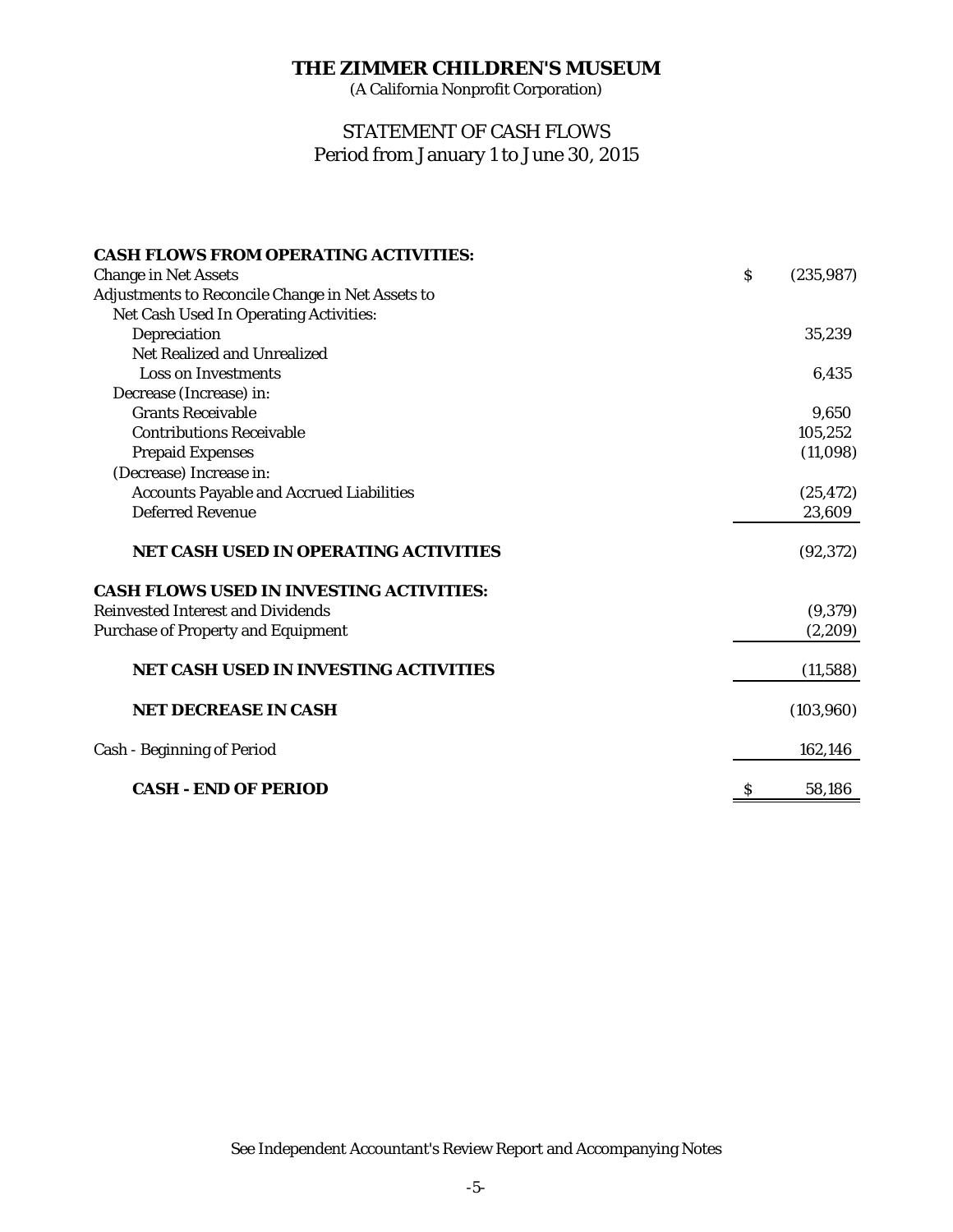(A California Nonprofit Corporation)

# Period from January 1 to June 30, 2015 STATEMENT OF CASH FLOWS

| <b>CASH FLOWS FROM OPERATING ACTIVITIES:</b>     |              |            |
|--------------------------------------------------|--------------|------------|
| <b>Change in Net Assets</b>                      | $\mathsf{S}$ | (235, 987) |
| Adjustments to Reconcile Change in Net Assets to |              |            |
| Net Cash Used In Operating Activities:           |              |            |
| Depreciation                                     |              | 35,239     |
| <b>Net Realized and Unrealized</b>               |              |            |
| <b>Loss on Investments</b>                       |              | 6,435      |
| Decrease (Increase) in:                          |              |            |
| <b>Grants Receivable</b>                         |              | 9,650      |
| <b>Contributions Receivable</b>                  |              | 105,252    |
| <b>Prepaid Expenses</b>                          |              | (11,098)   |
| (Decrease) Increase in:                          |              |            |
| <b>Accounts Payable and Accrued Liabilities</b>  |              | (25, 472)  |
| <b>Deferred Revenue</b>                          |              | 23,609     |
| <b>NET CASH USED IN OPERATING ACTIVITIES</b>     |              | (92, 372)  |
| <b>CASH FLOWS USED IN INVESTING ACTIVITIES:</b>  |              |            |
| <b>Reinvested Interest and Dividends</b>         |              | (9,379)    |
| <b>Purchase of Property and Equipment</b>        |              | (2,209)    |
| <b>NET CASH USED IN INVESTING ACTIVITIES</b>     |              | (11, 588)  |
| <b>NET DECREASE IN CASH</b>                      |              | (103, 960) |
| <b>Cash - Beginning of Period</b>                |              | 162,146    |
| <b>CASH - END OF PERIOD</b>                      | S            | 58,186     |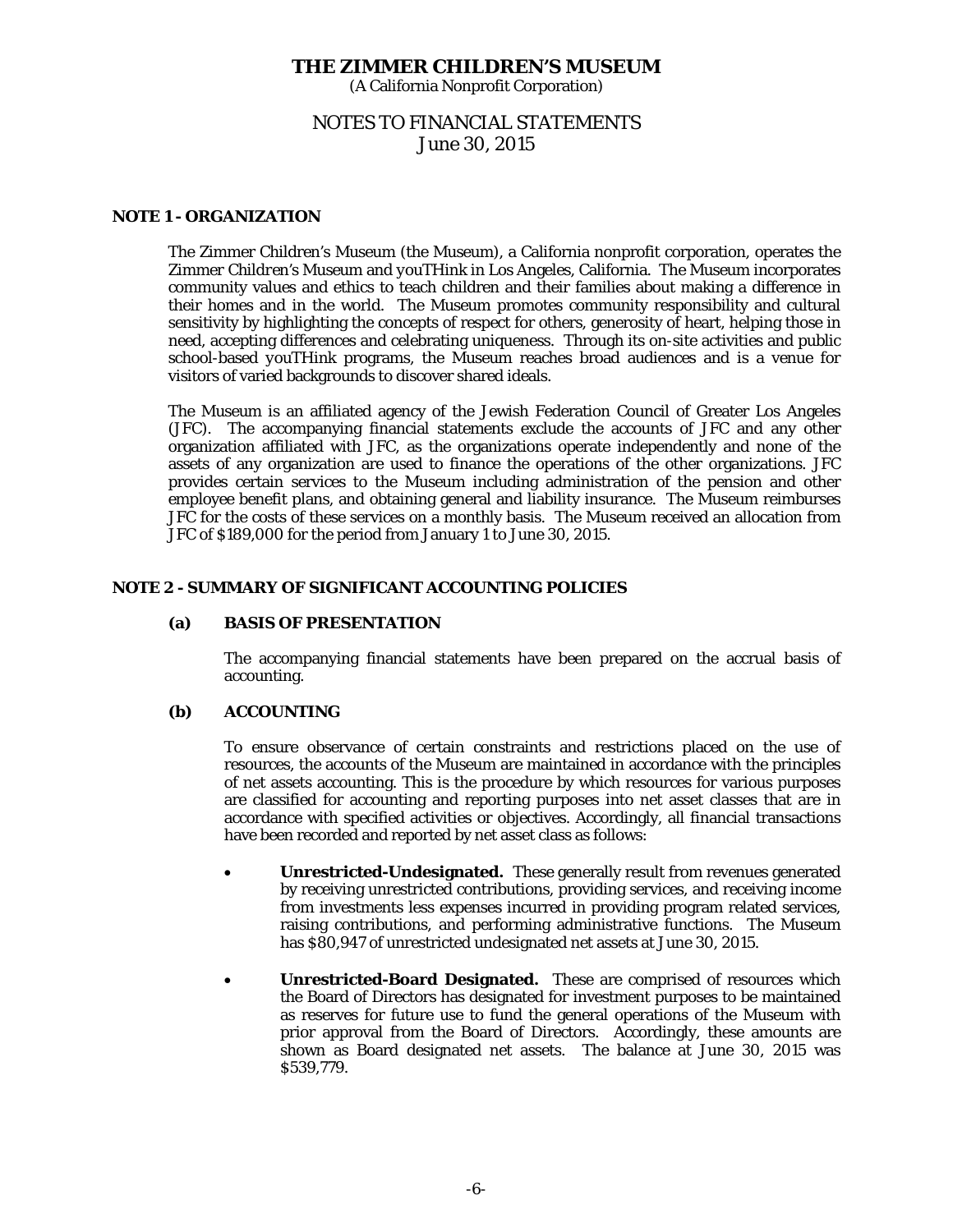(A California Nonprofit Corporation)

# NOTES TO FINANCIAL STATEMENTS June 30, 2015

## **NOTE 1 - ORGANIZATION**

The Zimmer Children's Museum (the Museum), a California nonprofit corporation, operates the *Zimmer Children's Museum* and *youTHink* in Los Angeles, California. The Museum incorporates community values and ethics to teach children and their families about making a difference in their homes and in the world. The Museum promotes community responsibility and cultural sensitivity by highlighting the concepts of respect for others, generosity of heart, helping those in need, accepting differences and celebrating uniqueness. Through its on-site activities and public school-based *youTHink* programs, the Museum reaches broad audiences and is a venue for visitors of varied backgrounds to discover shared ideals.

The Museum is an affiliated agency of the Jewish Federation Council of Greater Los Angeles (JFC). The accompanying financial statements exclude the accounts of JFC and any other organization affiliated with JFC, as the organizations operate independently and none of the assets of any organization are used to finance the operations of the other organizations. JFC provides certain services to the Museum including administration of the pension and other employee benefit plans, and obtaining general and liability insurance. The Museum reimburses JFC for the costs of these services on a monthly basis. The Museum received an allocation from JFC of \$189,000 for the period from January 1 to June 30, 2015.

## **NOTE 2 - SUMMARY OF SIGNIFICANT ACCOUNTING POLICIES**

#### **(a) BASIS OF PRESENTATION**

 The accompanying financial statements have been prepared on the accrual basis of accounting.

## **(b) ACCOUNTING**

 To ensure observance of certain constraints and restrictions placed on the use of resources, the accounts of the Museum are maintained in accordance with the principles of net assets accounting. This is the procedure by which resources for various purposes are classified for accounting and reporting purposes into net asset classes that are in accordance with specified activities or objectives. Accordingly, all financial transactions have been recorded and reported by net asset class as follows:

- **Unrestricted-Undesignated.** These generally result from revenues generated by receiving unrestricted contributions, providing services, and receiving income from investments less expenses incurred in providing program related services, raising contributions, and performing administrative functions. The Museum has \$80,947 of unrestricted undesignated net assets at June 30, 2015.
- **Unrestricted-Board Designated.** These are comprised of resources which the Board of Directors has designated for investment purposes to be maintained as reserves for future use to fund the general operations of the Museum with prior approval from the Board of Directors. Accordingly, these amounts are shown as Board designated net assets. The balance at June 30, 2015 was \$539,779.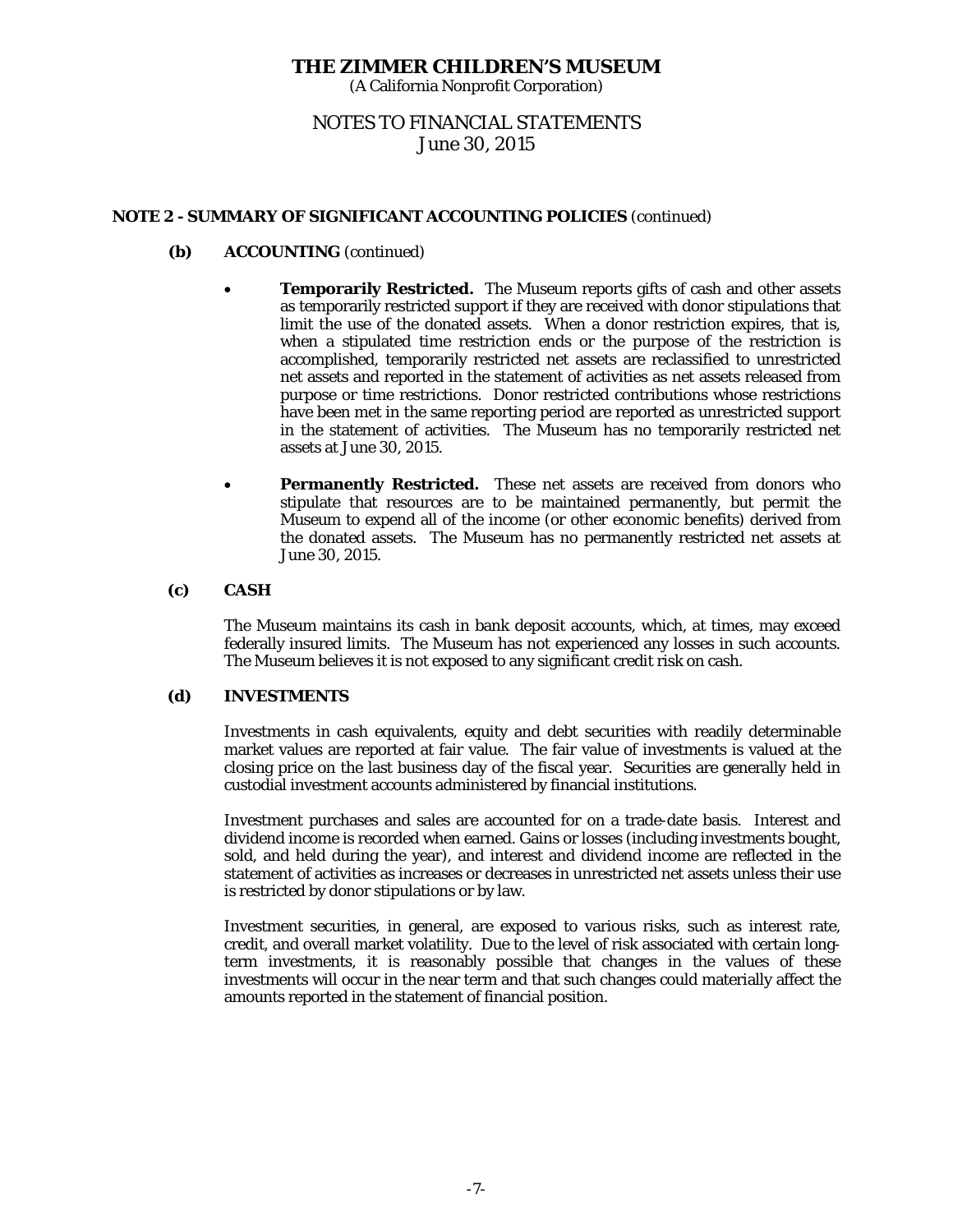(A California Nonprofit Corporation)

# NOTES TO FINANCIAL STATEMENTS June 30, 2015

## **NOTE 2 - SUMMARY OF SIGNIFICANT ACCOUNTING POLICIES** (continued)

# **(b) ACCOUNTING** (continued)

- **Temporarily Restricted.** The Museum reports gifts of cash and other assets as temporarily restricted support if they are received with donor stipulations that limit the use of the donated assets. When a donor restriction expires, that is, when a stipulated time restriction ends or the purpose of the restriction is accomplished, temporarily restricted net assets are reclassified to unrestricted net assets and reported in the statement of activities as net assets released from purpose or time restrictions. Donor restricted contributions whose restrictions have been met in the same reporting period are reported as unrestricted support in the statement of activities. The Museum has no temporarily restricted net assets at June 30, 2015.
- **Permanently Restricted.** These net assets are received from donors who stipulate that resources are to be maintained permanently, but permit the Museum to expend all of the income (or other economic benefits) derived from the donated assets. The Museum has no permanently restricted net assets at June 30, 2015.

## **(c) CASH**

The Museum maintains its cash in bank deposit accounts, which, at times, may exceed federally insured limits. The Museum has not experienced any losses in such accounts. The Museum believes it is not exposed to any significant credit risk on cash.

## **(d) INVESTMENTS**

Investments in cash equivalents, equity and debt securities with readily determinable market values are reported at fair value. The fair value of investments is valued at the closing price on the last business day of the fiscal year. Securities are generally held in custodial investment accounts administered by financial institutions.

Investment purchases and sales are accounted for on a trade-date basis. Interest and dividend income is recorded when earned. Gains or losses (including investments bought, sold, and held during the year), and interest and dividend income are reflected in the statement of activities as increases or decreases in unrestricted net assets unless their use is restricted by donor stipulations or by law.

Investment securities, in general, are exposed to various risks, such as interest rate, credit, and overall market volatility. Due to the level of risk associated with certain longterm investments, it is reasonably possible that changes in the values of these investments will occur in the near term and that such changes could materially affect the amounts reported in the statement of financial position.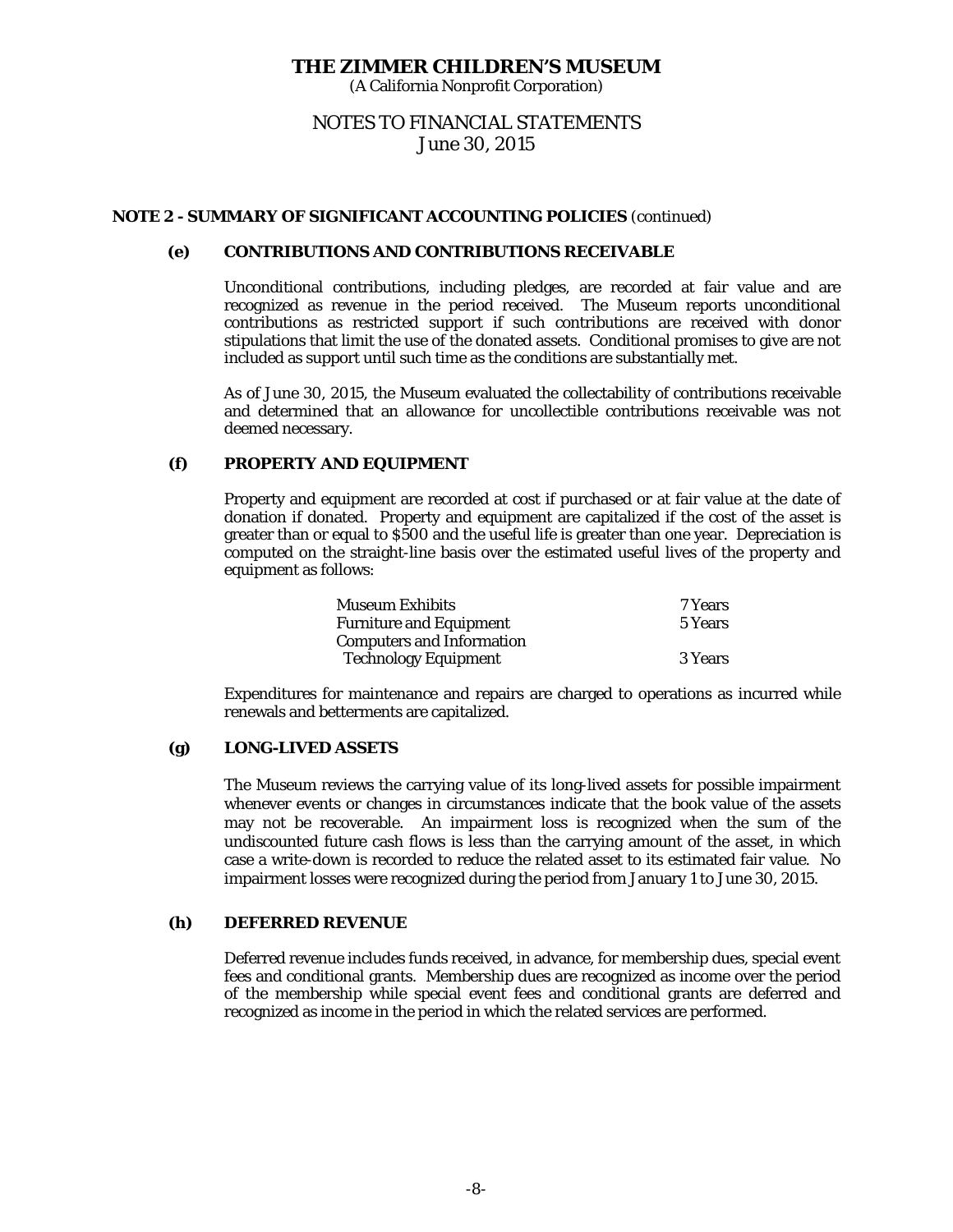(A California Nonprofit Corporation)

# NOTES TO FINANCIAL STATEMENTS June 30, 2015

## **NOTE 2 - SUMMARY OF SIGNIFICANT ACCOUNTING POLICIES** (continued)

#### **(e) CONTRIBUTIONS AND CONTRIBUTIONS RECEIVABLE**

Unconditional contributions, including pledges, are recorded at fair value and are recognized as revenue in the period received. The Museum reports unconditional contributions as restricted support if such contributions are received with donor stipulations that limit the use of the donated assets. Conditional promises to give are not included as support until such time as the conditions are substantially met.

As of June 30, 2015, the Museum evaluated the collectability of contributions receivable and determined that an allowance for uncollectible contributions receivable was not deemed necessary.

#### **(f) PROPERTY AND EQUIPMENT**

Property and equipment are recorded at cost if purchased or at fair value at the date of donation if donated. Property and equipment are capitalized if the cost of the asset is greater than or equal to \$500 and the useful life is greater than one year. Depreciation is computed on the straight-line basis over the estimated useful lives of the property and equipment as follows:

| <b>Museum Exhibits</b>           | 7 Years |
|----------------------------------|---------|
| <b>Furniture and Equipment</b>   | 5 Years |
| <b>Computers and Information</b> |         |
| <b>Technology Equipment</b>      | 3 Years |

Expenditures for maintenance and repairs are charged to operations as incurred while renewals and betterments are capitalized.

## **(g) LONG-LIVED ASSETS**

The Museum reviews the carrying value of its long-lived assets for possible impairment whenever events or changes in circumstances indicate that the book value of the assets may not be recoverable. An impairment loss is recognized when the sum of the undiscounted future cash flows is less than the carrying amount of the asset, in which case a write-down is recorded to reduce the related asset to its estimated fair value. No impairment losses were recognized during the period from January 1 to June 30, 2015.

# **(h) DEFERRED REVENUE**

Deferred revenue includes funds received, in advance, for membership dues, special event fees and conditional grants. Membership dues are recognized as income over the period of the membership while special event fees and conditional grants are deferred and recognized as income in the period in which the related services are performed.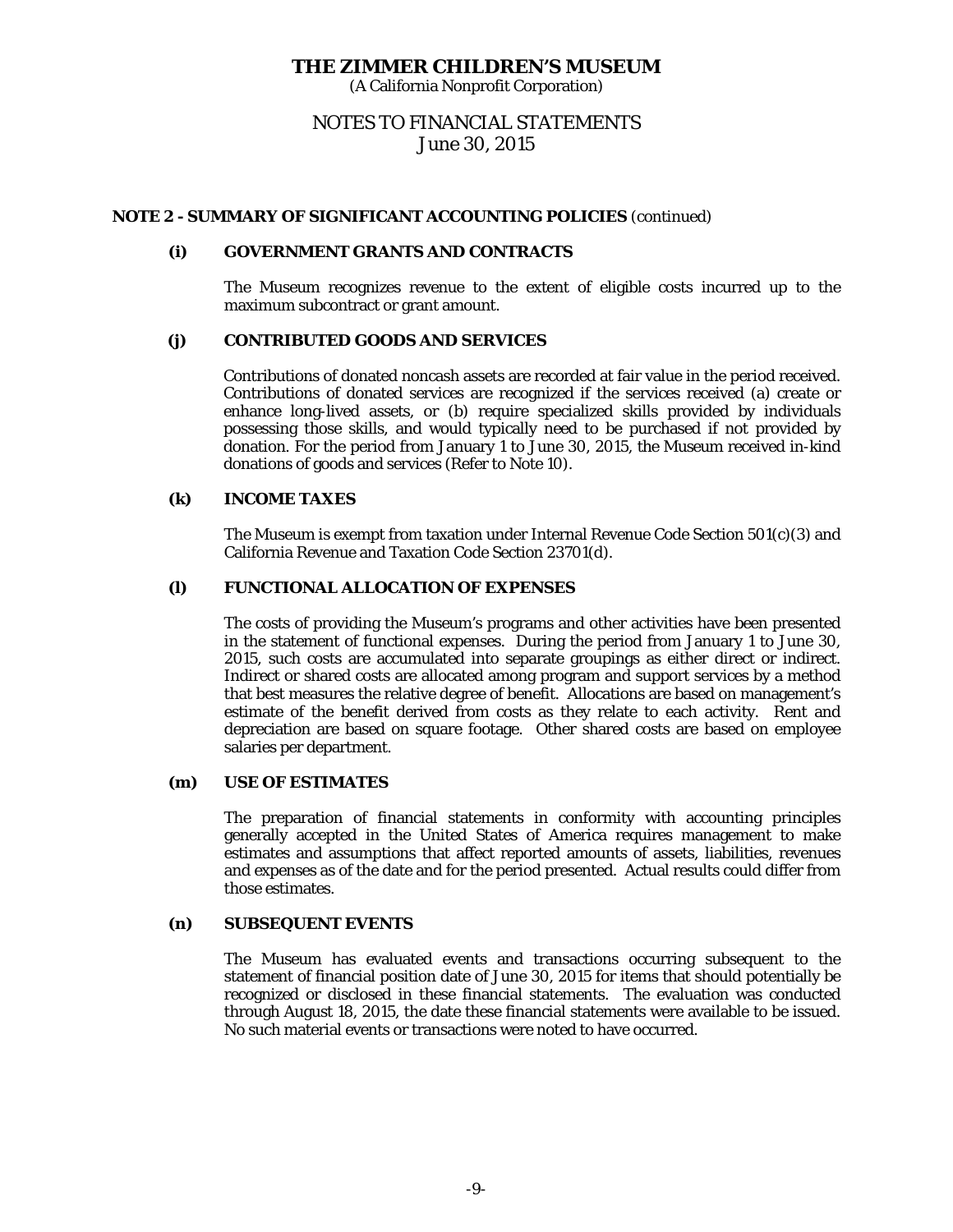(A California Nonprofit Corporation)

# NOTES TO FINANCIAL STATEMENTS June 30, 2015

## **NOTE 2 - SUMMARY OF SIGNIFICANT ACCOUNTING POLICIES** (continued)

#### **(i) GOVERNMENT GRANTS AND CONTRACTS**

The Museum recognizes revenue to the extent of eligible costs incurred up to the maximum subcontract or grant amount.

#### **(j) CONTRIBUTED GOODS AND SERVICES**

Contributions of donated noncash assets are recorded at fair value in the period received. Contributions of donated services are recognized if the services received (a) create or enhance long-lived assets, or (b) require specialized skills provided by individuals possessing those skills, and would typically need to be purchased if not provided by donation. For the period from January 1 to June 30, 2015, the Museum received in-kind donations of goods and services (Refer to Note 10).

#### **(k) INCOME TAXES**

The Museum is exempt from taxation under Internal Revenue Code Section 501(c)(3) and California Revenue and Taxation Code Section 23701(d).

#### **(l) FUNCTIONAL ALLOCATION OF EXPENSES**

The costs of providing the Museum's programs and other activities have been presented in the statement of functional expenses. During the period from January 1 to June 30, 2015, such costs are accumulated into separate groupings as either direct or indirect. Indirect or shared costs are allocated among program and support services by a method that best measures the relative degree of benefit. Allocations are based on management's estimate of the benefit derived from costs as they relate to each activity. Rent and depreciation are based on square footage. Other shared costs are based on employee salaries per department.

#### **(m) USE OF ESTIMATES**

The preparation of financial statements in conformity with accounting principles generally accepted in the United States of America requires management to make estimates and assumptions that affect reported amounts of assets, liabilities, revenues and expenses as of the date and for the period presented. Actual results could differ from those estimates.

## **(n) SUBSEQUENT EVENTS**

The Museum has evaluated events and transactions occurring subsequent to the statement of financial position date of June 30, 2015 for items that should potentially be recognized or disclosed in these financial statements. The evaluation was conducted through August 18, 2015, the date these financial statements were available to be issued. No such material events or transactions were noted to have occurred.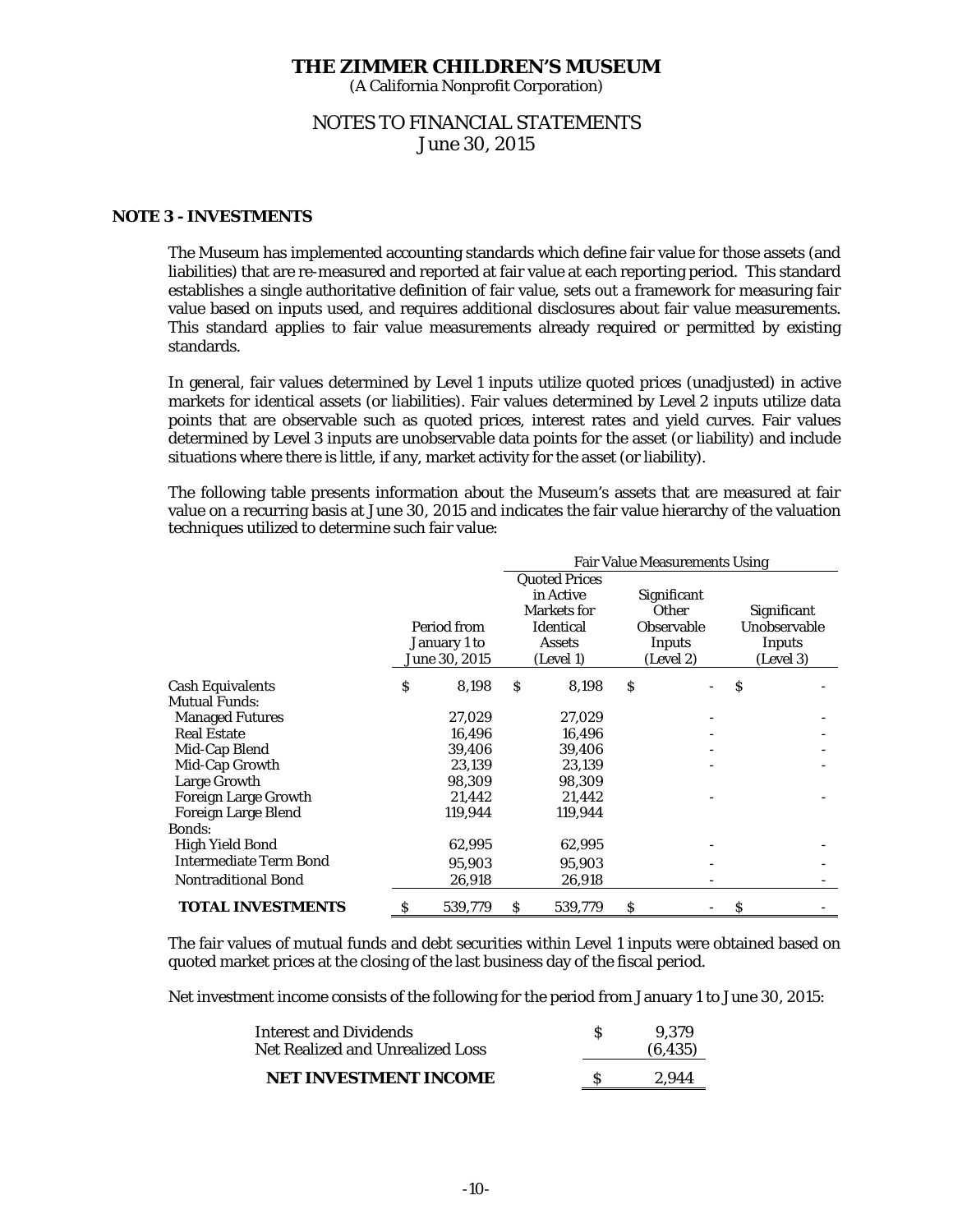(A California Nonprofit Corporation)

# NOTES TO FINANCIAL STATEMENTS June 30, 2015

# **NOTE 3 - INVESTMENTS**

 The Museum has implemented accounting standards which define fair value for those assets (and liabilities) that are re-measured and reported at fair value at each reporting period. This standard establishes a single authoritative definition of fair value, sets out a framework for measuring fair value based on inputs used, and requires additional disclosures about fair value measurements. This standard applies to fair value measurements already required or permitted by existing standards.

 In general, fair values determined by Level 1 inputs utilize quoted prices (unadjusted) in active markets for identical assets (or liabilities). Fair values determined by Level 2 inputs utilize data points that are observable such as quoted prices, interest rates and yield curves. Fair values determined by Level 3 inputs are unobservable data points for the asset (or liability) and include situations where there is little, if any, market activity for the asset (or liability).

The following table presents information about the Museum's assets that are measured at fair value on a recurring basis at June 30, 2015 and indicates the fair value hierarchy of the valuation techniques utilized to determine such fair value:

|                                             | <b>Fair Value Measurements Using</b> |                                              |   |                                                                                                           |    |                                                                         |                                                    |  |
|---------------------------------------------|--------------------------------------|----------------------------------------------|---|-----------------------------------------------------------------------------------------------------------|----|-------------------------------------------------------------------------|----------------------------------------------------|--|
|                                             |                                      | Period from<br>January 1 to<br>June 30, 2015 |   | <b>Quoted Prices</b><br>in Active<br><b>Markets for</b><br><b>Identical</b><br><b>Assets</b><br>(Level 1) |    | Significant<br><b>Other</b><br><b>Observable</b><br>Inputs<br>(Level 2) | Significant<br>Unobservable<br>Inputs<br>(Level 3) |  |
| <b>Cash Equivalents</b>                     | \$                                   | 8,198                                        | S | 8,198                                                                                                     | \$ |                                                                         | \$                                                 |  |
| <b>Mutual Funds:</b>                        |                                      |                                              |   |                                                                                                           |    |                                                                         |                                                    |  |
| <b>Managed Futures</b>                      |                                      | 27,029                                       |   | 27,029                                                                                                    |    |                                                                         |                                                    |  |
| <b>Real Estate</b>                          |                                      | 16,496                                       |   | 16,496                                                                                                    |    |                                                                         |                                                    |  |
| Mid-Cap Blend                               |                                      | 39,406                                       |   | 39,406                                                                                                    |    |                                                                         |                                                    |  |
| Mid-Cap Growth                              |                                      | 23,139                                       |   | 23,139                                                                                                    |    |                                                                         |                                                    |  |
| Large Growth                                |                                      | 98,309                                       |   | 98,309                                                                                                    |    |                                                                         |                                                    |  |
| <b>Foreign Large Growth</b>                 |                                      | 21,442                                       |   | 21,442                                                                                                    |    |                                                                         |                                                    |  |
| <b>Foreign Large Blend</b><br><b>Bonds:</b> |                                      | 119,944                                      |   | 119,944                                                                                                   |    |                                                                         |                                                    |  |
| High Yield Bond                             |                                      | 62,995                                       |   | 62,995                                                                                                    |    |                                                                         |                                                    |  |
| <b>Intermediate Term Bond</b>               |                                      | 95,903                                       |   |                                                                                                           |    |                                                                         |                                                    |  |
| <b>Nontraditional Bond</b>                  |                                      |                                              |   | 95,903                                                                                                    |    |                                                                         |                                                    |  |
|                                             |                                      | 26,918                                       |   | 26,918                                                                                                    |    |                                                                         |                                                    |  |
| <b>TOTAL INVESTMENTS</b>                    | \$                                   | 539,779                                      | S | 539,779                                                                                                   | \$ |                                                                         | S                                                  |  |

The fair values of mutual funds and debt securities within Level 1 inputs were obtained based on quoted market prices at the closing of the last business day of the fiscal period.

Net investment income consists of the following for the period from January 1 to June 30, 2015:

| <b>Interest and Dividends</b><br>Net Realized and Unrealized Loss |  | 9.379<br>(6, 435) |
|-------------------------------------------------------------------|--|-------------------|
| NET INVESTMENT INCOME                                             |  | 2.944             |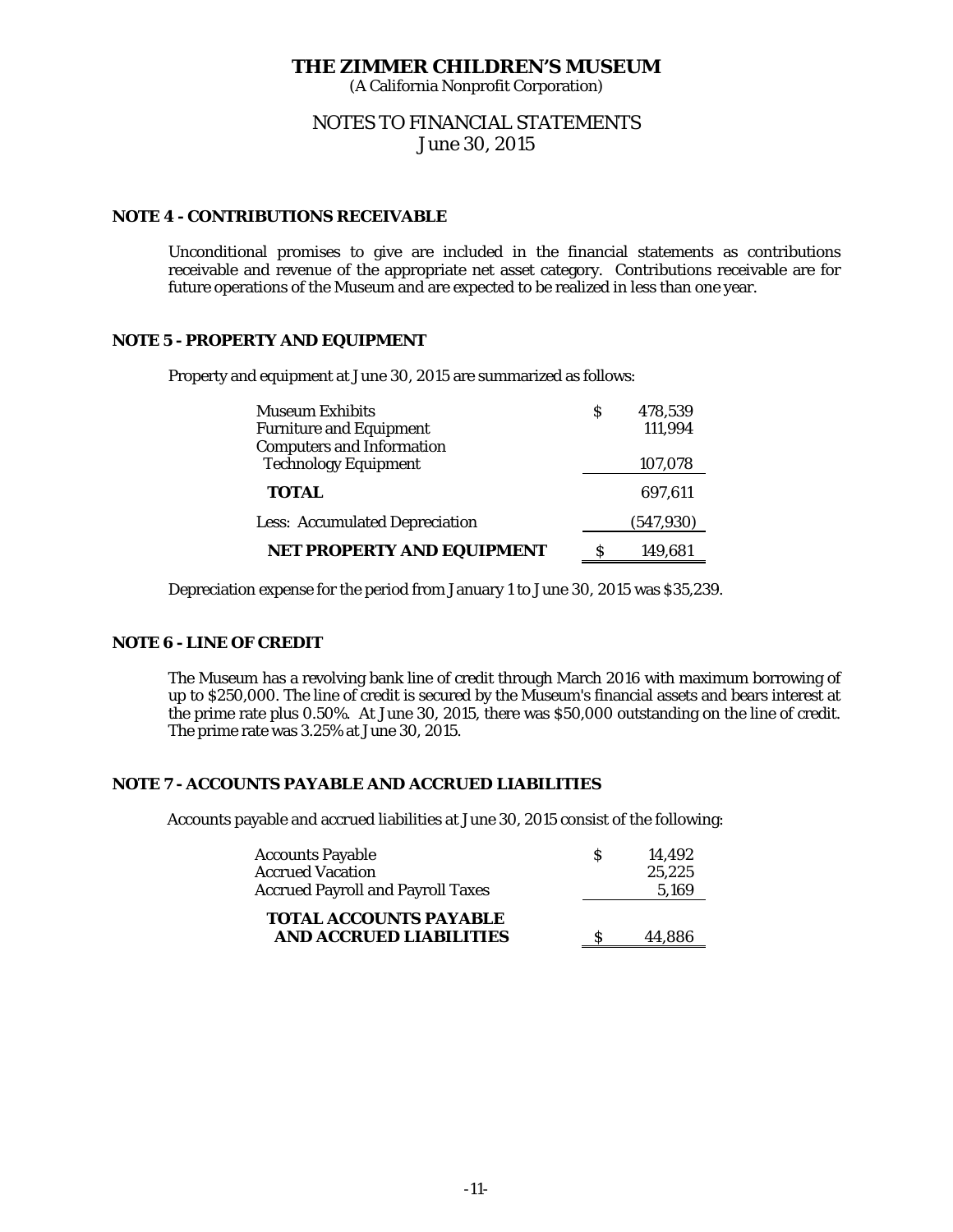(A California Nonprofit Corporation)

# NOTES TO FINANCIAL STATEMENTS June 30, 2015

## **NOTE 4 - CONTRIBUTIONS RECEIVABLE**

Unconditional promises to give are included in the financial statements as contributions receivable and revenue of the appropriate net asset category. Contributions receivable are for future operations of the Museum and are expected to be realized in less than one year.

## **NOTE 5 - PROPERTY AND EQUIPMENT**

Property and equipment at June 30, 2015 are summarized as follows:

| <b>Museum Exhibits</b>                | S | 478,539    |
|---------------------------------------|---|------------|
| <b>Furniture and Equipment</b>        |   | 111,994    |
| <b>Computers and Information</b>      |   |            |
| <b>Technology Equipment</b>           |   | 107,078    |
| <b>TOTAL</b>                          |   | 697.611    |
| <b>Less: Accumulated Depreciation</b> |   | (547, 930) |
| NET PROPERTY AND EQUIPMENT            | S | 149.681    |

Depreciation expense for the period from January 1 to June 30, 2015 was \$35,239.

# **NOTE 6 - LINE OF CREDIT**

 The Museum has a revolving bank line of credit through March 2016 with maximum borrowing of up to \$250,000. The line of credit is secured by the Museum's financial assets and bears interest at the prime rate plus 0.50%. At June 30, 2015, there was \$50,000 outstanding on the line of credit. The prime rate was 3.25% at June 30, 2015.

## **NOTE 7 - ACCOUNTS PAYABLE AND ACCRUED LIABILITIES**

Accounts payable and accrued liabilities at June 30, 2015 consist of the following:

| <b>Accounts Payable</b><br><b>Accrued Vacation</b> | S | 14.492<br>25,225 |
|----------------------------------------------------|---|------------------|
| <b>Accrued Payroll and Payroll Taxes</b>           |   | 5,169            |
| <b>TOTAL ACCOUNTS PAYABLE</b>                      |   |                  |
| <b>AND ACCRUED LIABILITIES</b>                     |   | 44.886           |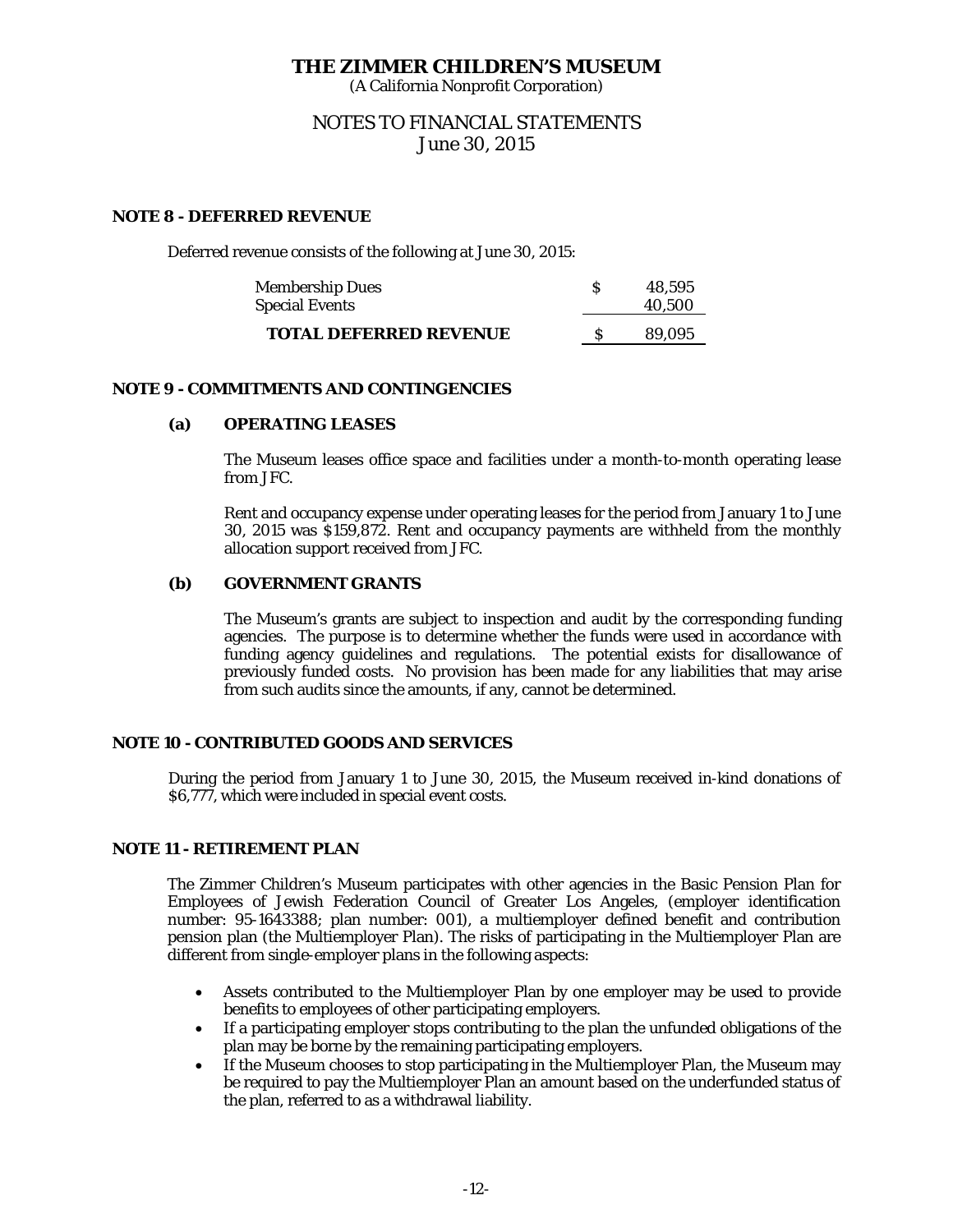(A California Nonprofit Corporation)

# NOTES TO FINANCIAL STATEMENTS June 30, 2015

# **NOTE 8 - DEFERRED REVENUE**

Deferred revenue consists of the following at June 30, 2015:

| <b>Membership Dues</b><br><b>Special Events</b> | 48.595<br>40.500 |
|-------------------------------------------------|------------------|
| <b>TOTAL DEFERRED REVENUE</b>                   | 89.095           |

## **NOTE 9 - COMMITMENTS AND CONTINGENCIES**

## **(a) OPERATING LEASES**

The Museum leases office space and facilities under a month-to-month operating lease from JFC.

Rent and occupancy expense under operating leases for the period from January 1 to June 30, 2015 was \$159,872. Rent and occupancy payments are withheld from the monthly allocation support received from JFC.

# **(b) GOVERNMENT GRANTS**

The Museum's grants are subject to inspection and audit by the corresponding funding agencies. The purpose is to determine whether the funds were used in accordance with funding agency guidelines and regulations. The potential exists for disallowance of previously funded costs. No provision has been made for any liabilities that may arise from such audits since the amounts, if any, cannot be determined.

## **NOTE 10 - CONTRIBUTED GOODS AND SERVICES**

During the period from January 1 to June 30, 2015, the Museum received in-kind donations of \$6,777, which were included in special event costs.

## **NOTE 11 - RETIREMENT PLAN**

The Zimmer Children's Museum participates with other agencies in the Basic Pension Plan for Employees of Jewish Federation Council of Greater Los Angeles, (employer identification number: 95-1643388; plan number: 001), a multiemployer defined benefit and contribution pension plan (the Multiemployer Plan). The risks of participating in the Multiemployer Plan are different from single-employer plans in the following aspects:

- Assets contributed to the Multiemployer Plan by one employer may be used to provide benefits to employees of other participating employers.
- If a participating employer stops contributing to the plan the unfunded obligations of the plan may be borne by the remaining participating employers.
- If the Museum chooses to stop participating in the Multiemployer Plan, the Museum may be required to pay the Multiemployer Plan an amount based on the underfunded status of the plan, referred to as a withdrawal liability.